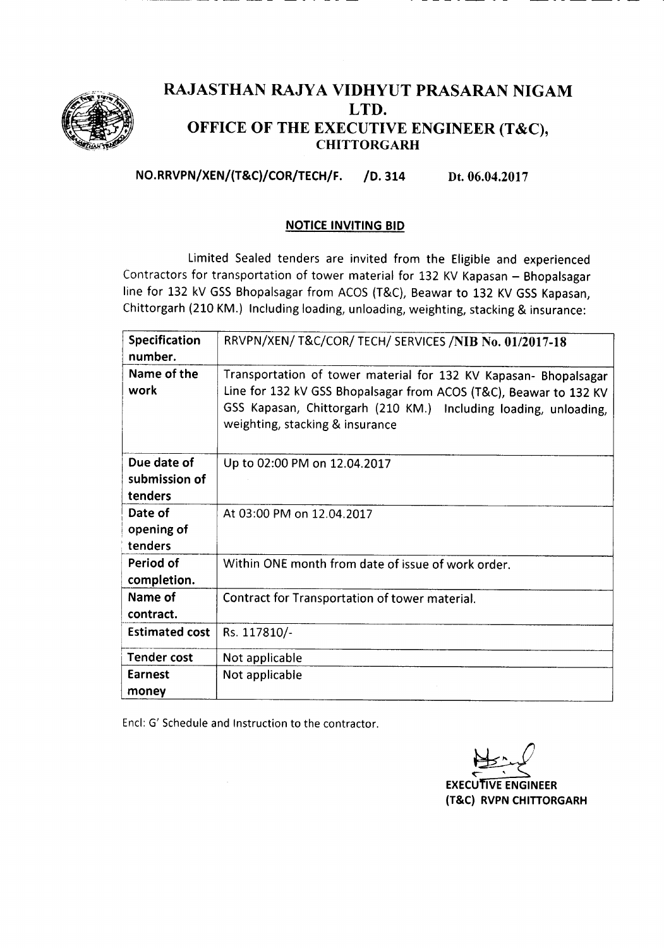

## RAJASTHAN RAJYA VIDHYUT PRASARAN NIGAM LTD. OFFICE OF THE EXECUTIVE ENGINEER (T&C), **CHITTORGARH**

NO.RRVPN/XEN/(T&C)/COR/TECH/F. /0. 314 Dt. 06.04.2017

## NOTICE INVITING BID

Limited Sealed tenders are invited from the Eligible and experienced Contractors for transportation of tower material for 132 KV Kapasan - Bhopalsagar line for 132 kV GSS Bhopalsagar from ACOS (T&C), Beawar to 132 KV GSS Kapasan, Chittorgarh (210 KM.) Including loading, unloading, weighting, stacking & insurance:

| Specification<br>number. | RRVPN/XEN/ T&C/COR/ TECH/ SERVICES /NIB No. 01/2017-18                                                                                                                                                                                       |  |  |  |
|--------------------------|----------------------------------------------------------------------------------------------------------------------------------------------------------------------------------------------------------------------------------------------|--|--|--|
| Name of the<br>work      | Transportation of tower material for 132 KV Kapasan- Bhopalsagar<br>Line for 132 kV GSS Bhopalsagar from ACOS (T&C), Beawar to 132 KV<br>GSS Kapasan, Chittorgarh (210 KM.) Including loading, unloading,<br>weighting, stacking & insurance |  |  |  |
| Due date of              | Up to 02:00 PM on 12.04.2017                                                                                                                                                                                                                 |  |  |  |
| submission of            |                                                                                                                                                                                                                                              |  |  |  |
| tenders                  |                                                                                                                                                                                                                                              |  |  |  |
| Date of                  | At 03:00 PM on 12.04.2017                                                                                                                                                                                                                    |  |  |  |
| opening of               |                                                                                                                                                                                                                                              |  |  |  |
| tenders                  |                                                                                                                                                                                                                                              |  |  |  |
| Period of                | Within ONE month from date of issue of work order.                                                                                                                                                                                           |  |  |  |
| completion.              |                                                                                                                                                                                                                                              |  |  |  |
| Name of<br>contract.     | Contract for Transportation of tower material.                                                                                                                                                                                               |  |  |  |
| <b>Estimated cost</b>    | Rs. 117810/-                                                                                                                                                                                                                                 |  |  |  |
| <b>Tender cost</b>       | Not applicable                                                                                                                                                                                                                               |  |  |  |
| Earnest<br>money         | Not applicable                                                                                                                                                                                                                               |  |  |  |

Encl: G' Schedule and Instruction to the contractor.

**EXECUTIVE ENGINEER** (T&C) RVPN CHITIORGARH